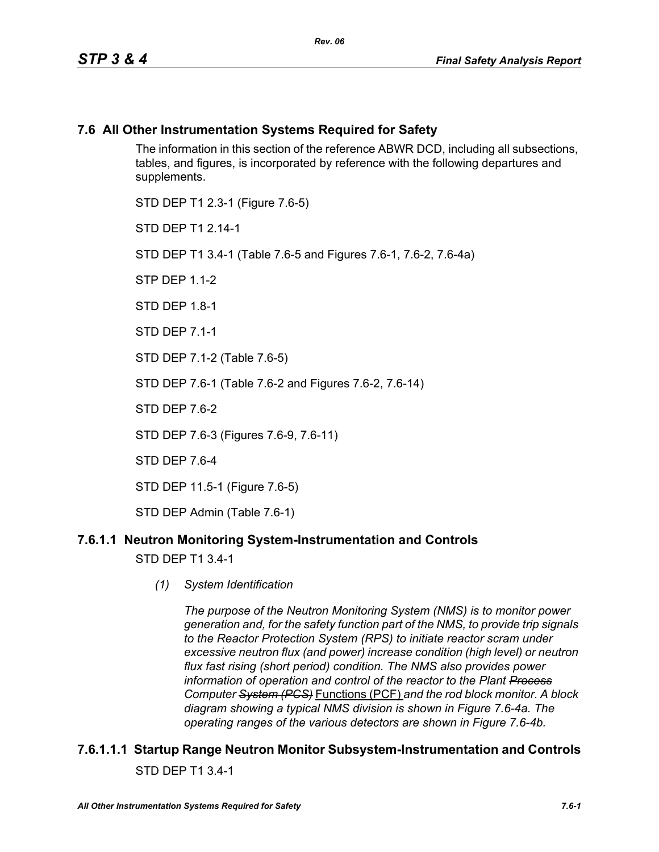### **7.6 All Other Instrumentation Systems Required for Safety**

The information in this section of the reference ABWR DCD, including all subsections, tables, and figures, is incorporated by reference with the following departures and supplements.

STD DEP T1 2.3-1 (Figure 7.6-5) STD DFP T1 2 14-1 STD DEP T1 3.4-1 (Table 7.6-5 and Figures 7.6-1, 7.6-2, 7.6-4a)  $STP$  DFP 11-2 STD DFP 18-1 STD DEP 7.1-1 STD DEP 7.1-2 (Table 7.6-5) STD DEP 7.6-1 (Table 7.6-2 and Figures 7.6-2, 7.6-14) STD DFP 76-2 STD DEP 7.6-3 (Figures 7.6-9, 7.6-11) STD DEP 7.6-4 STD DEP 11.5-1 (Figure 7.6-5)

STD DEP Admin (Table 7.6-1)

### **7.6.1.1 Neutron Monitoring System-Instrumentation and Controls**

STD DEP T1 3.4-1

*(1) System Identification*

*The purpose of the Neutron Monitoring System (NMS) is to monitor power generation and, for the safety function part of the NMS, to provide trip signals to the Reactor Protection System (RPS) to initiate reactor scram under excessive neutron flux (and power) increase condition (high level) or neutron flux fast rising (short period) condition. The NMS also provides power information of operation and control of the reactor to the Plant Process Computer System (PCS)* Functions (PCF) *and the rod block monitor. A block diagram showing a typical NMS division is shown in Figure 7.6-4a. The operating ranges of the various detectors are shown in Figure 7.6-4b.*

### **7.6.1.1.1 Startup Range Neutron Monitor Subsystem-Instrumentation and Controls** STD DEP T1 3.4-1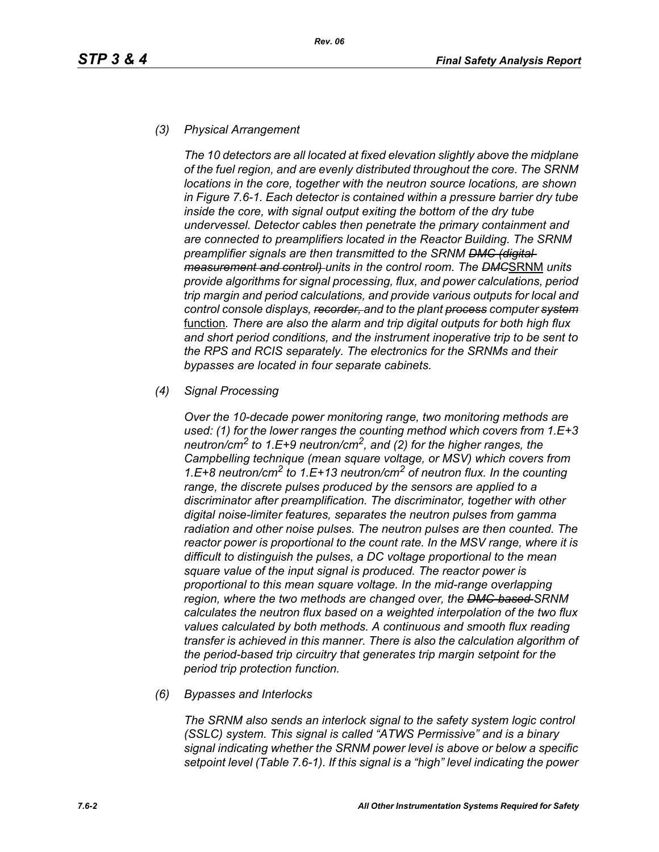#### *(3) Physical Arrangement*

*The 10 detectors are all located at fixed elevation slightly above the midplane of the fuel region, and are evenly distributed throughout the core. The SRNM locations in the core, together with the neutron source locations, are shown in Figure 7.6-1. Each detector is contained within a pressure barrier dry tube inside the core, with signal output exiting the bottom of the dry tube undervessel. Detector cables then penetrate the primary containment and are connected to preamplifiers located in the Reactor Building. The SRNM preamplifier signals are then transmitted to the SRNM DMC (digital measurement and control) units in the control room. The DMC*SRNM *units provide algorithms for signal processing, flux, and power calculations, period trip margin and period calculations, and provide various outputs for local and control console displays, recorder, and to the plant process computer system* function*. There are also the alarm and trip digital outputs for both high flux and short period conditions, and the instrument inoperative trip to be sent to the RPS and RCIS separately. The electronics for the SRNMs and their bypasses are located in four separate cabinets.*

#### *(4) Signal Processing*

*Over the 10-decade power monitoring range, two monitoring methods are used: (1) for the lower ranges the counting method which covers from 1.E+3 neutron/cm2 to 1.E+9 neutron/cm2, and (2) for the higher ranges, the Campbelling technique (mean square voltage, or MSV) which covers from 1.E+8 neutron/cm2 to 1.E+13 neutron/cm2 of neutron flux. In the counting range, the discrete pulses produced by the sensors are applied to a discriminator after preamplification. The discriminator, together with other digital noise-limiter features, separates the neutron pulses from gamma radiation and other noise pulses. The neutron pulses are then counted. The reactor power is proportional to the count rate. In the MSV range, where it is difficult to distinguish the pulses, a DC voltage proportional to the mean square value of the input signal is produced. The reactor power is proportional to this mean square voltage. In the mid-range overlapping region, where the two methods are changed over, the DMC-based SRNM calculates the neutron flux based on a weighted interpolation of the two flux values calculated by both methods. A continuous and smooth flux reading transfer is achieved in this manner. There is also the calculation algorithm of the period-based trip circuitry that generates trip margin setpoint for the period trip protection function.*

#### *(6) Bypasses and Interlocks*

*The SRNM also sends an interlock signal to the safety system logic control (SSLC) system. This signal is called "ATWS Permissive" and is a binary signal indicating whether the SRNM power level is above or below a specific setpoint level (Table 7.6-1). If this signal is a "high" level indicating the power*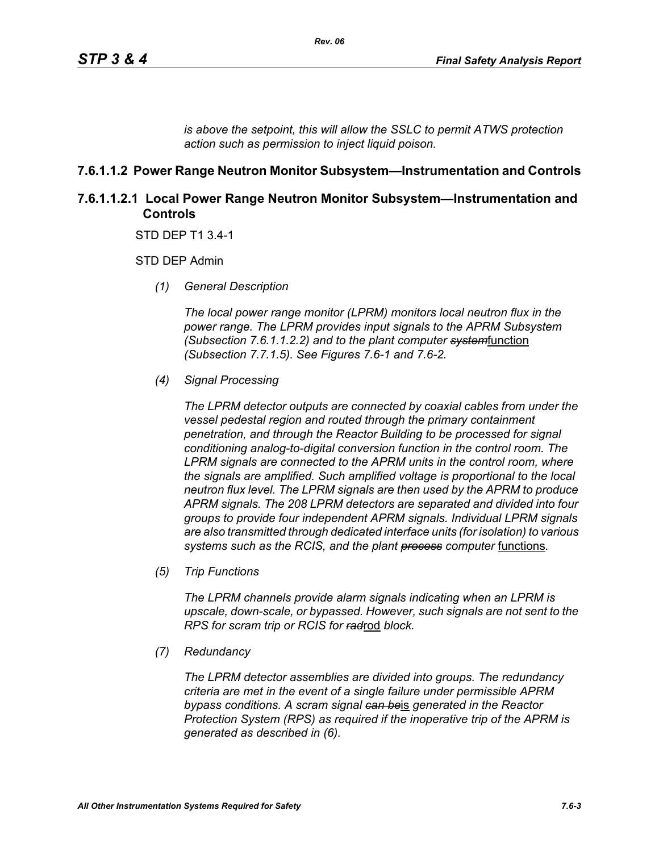*is above the setpoint, this will allow the SSLC to permit ATWS protection action such as permission to inject liquid poison.*

### **7.6.1.1.2 Power Range Neutron Monitor Subsystem—Instrumentation and Controls**

### **7.6.1.1.2.1 Local Power Range Neutron Monitor Subsystem—Instrumentation and Controls**

STD DEP T1 3.4-1

STD DEP Admin

*(1) General Description*

*The local power range monitor (LPRM) monitors local neutron flux in the power range. The LPRM provides input signals to the APRM Subsystem (Subsection 7.6.1.1.2.2) and to the plant computer system*function *(Subsection 7.7.1.5). See Figures 7.6-1 and 7.6-2.*

*(4) Signal Processing*

*The LPRM detector outputs are connected by coaxial cables from under the vessel pedestal region and routed through the primary containment penetration, and through the Reactor Building to be processed for signal conditioning analog-to-digital conversion function in the control room. The LPRM signals are connected to the APRM units in the control room, where the signals are amplified. Such amplified voltage is proportional to the local neutron flux level. The LPRM signals are then used by the APRM to produce APRM signals. The 208 LPRM detectors are separated and divided into four groups to provide four independent APRM signals. Individual LPRM signals are also transmitted through dedicated interface units (for isolation) to various*  systems such as the RCIS, and the plant **process** computer functions.

*(5) Trip Functions*

*The LPRM channels provide alarm signals indicating when an LPRM is upscale, down-scale, or bypassed. However, such signals are not sent to the RPS for scram trip or RCIS for rad*rod *block.*

*(7) Redundancy*

*The LPRM detector assemblies are divided into groups. The redundancy criteria are met in the event of a single failure under permissible APRM bypass conditions. A scram signal can be*is *generated in the Reactor Protection System (RPS) as required if the inoperative trip of the APRM is generated as described in (6).*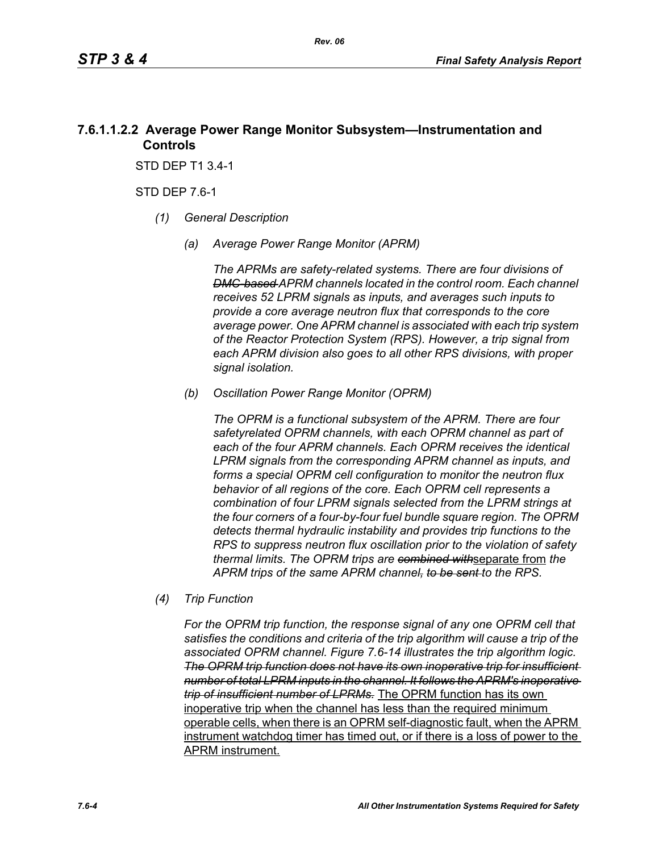### **7.6.1.1.2.2 Average Power Range Monitor Subsystem—Instrumentation and Controls**

STD DEP T1 3.4-1

STD DEP 7.6-1

- *(1) General Description*
	- *(a) Average Power Range Monitor (APRM)*

*The APRMs are safety-related systems. There are four divisions of DMC-based APRM channels located in the control room. Each channel receives 52 LPRM signals as inputs, and averages such inputs to provide a core average neutron flux that corresponds to the core average power. One APRM channel is associated with each trip system of the Reactor Protection System (RPS). However, a trip signal from each APRM division also goes to all other RPS divisions, with proper signal isolation.*

*(b) Oscillation Power Range Monitor (OPRM)*

*The OPRM is a functional subsystem of the APRM. There are four safetyrelated OPRM channels, with each OPRM channel as part of each of the four APRM channels. Each OPRM receives the identical LPRM signals from the corresponding APRM channel as inputs, and forms a special OPRM cell configuration to monitor the neutron flux behavior of all regions of the core. Each OPRM cell represents a combination of four LPRM signals selected from the LPRM strings at the four corners of a four-by-four fuel bundle square region. The OPRM detects thermal hydraulic instability and provides trip functions to the RPS to suppress neutron flux oscillation prior to the violation of safety thermal limits. The OPRM trips are combined with*separate from *the APRM trips of the same APRM channel, to be sent to the RPS.*

*(4) Trip Function*

*For the OPRM trip function, the response signal of any one OPRM cell that satisfies the conditions and criteria of the trip algorithm will cause a trip of the associated OPRM channel. Figure 7.6-14 illustrates the trip algorithm logic. The OPRM trip function does not have its own inoperative trip for insufficient number of total LPRM inputs in the channel. It follows the APRM's inoperative trip of insufficient number of LPRMs.* The OPRM function has its own inoperative trip when the channel has less than the required minimum operable cells, when there is an OPRM self-diagnostic fault, when the APRM instrument watchdog timer has timed out, or if there is a loss of power to the APRM instrument.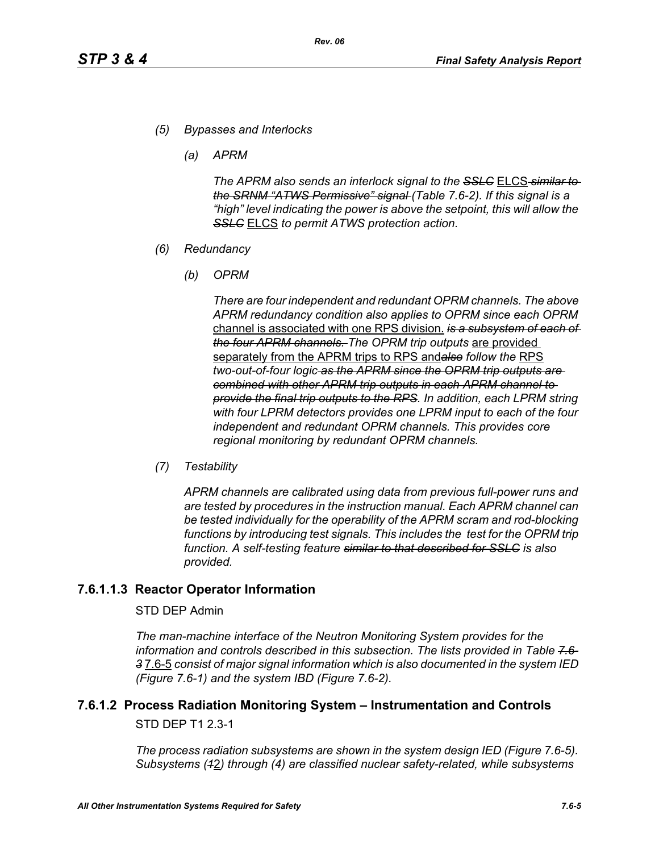- *(5) Bypasses and Interlocks*
	- *(a) APRM*

*The APRM also sends an interlock signal to the SSLC* ELCS *similar to the SRNM "ATWS Permissive" signal (Table 7.6-2). If this signal is a "high" level indicating the power is above the setpoint, this will allow the SSLC* ELCS *to permit ATWS protection action.*

- *(6) Redundancy*
	- *(b) OPRM*

*There are four independent and redundant OPRM channels. The above APRM redundancy condition also applies to OPRM since each OPRM*  channel is associated with one RPS division. *is a subsystem of each of the four APRM channels. The OPRM trip outputs* are provided separately from the APRM trips to RPS and*also follow the* RPS *two-out-of-four logic as the APRM since the OPRM trip outputs are combined with other APRM trip outputs in each APRM channel to provide the final trip outputs to the RPS. In addition, each LPRM string with four LPRM detectors provides one LPRM input to each of the four independent and redundant OPRM channels. This provides core regional monitoring by redundant OPRM channels.*

*(7) Testability*

*APRM channels are calibrated using data from previous full-power runs and are tested by procedures in the instruction manual. Each APRM channel can be tested individually for the operability of the APRM scram and rod-blocking*  functions by introducing test signals. This includes the test for the OPRM trip *function. A self-testing feature similar to that described for SSLC is also provided.*

### **7.6.1.1.3 Reactor Operator Information**

#### STD DEP Admin

*The man-machine interface of the Neutron Monitoring System provides for the information and controls described in this subsection. The lists provided in Table 7.6- 3* 7.6-5 *consist of major signal information which is also documented in the system IED (Figure 7.6-1) and the system IBD (Figure 7.6-2).*

# **7.6.1.2 Process Radiation Monitoring System – Instrumentation and Controls**

STD DEP T1 2.3-1

*The process radiation subsystems are shown in the system design IED (Figure 7.6-5). Subsystems (1*2*) through (4) are classified nuclear safety-related, while subsystems*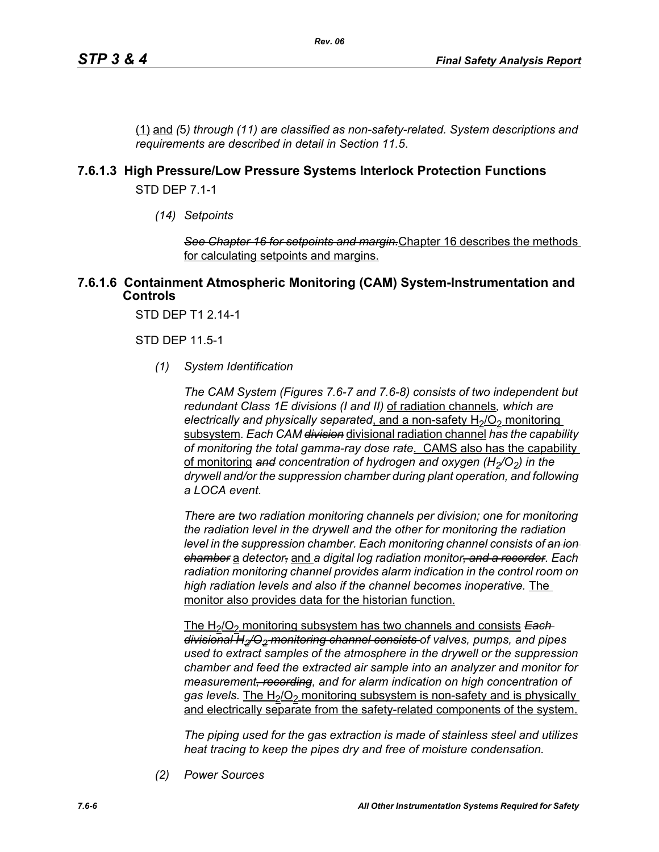(1) and *(*5*) through (11) are classified as non-safety-related. System descriptions and requirements are described in detail in Section 11.5*.

### **7.6.1.3 High Pressure/Low Pressure Systems Interlock Protection Functions**

STD DEP 7.1-1

*(14) Setpoints*

*See Chapter 16 for setpoints and margin.*Chapter 16 describes the methods for calculating setpoints and margins.

#### **7.6.1.6 Containment Atmospheric Monitoring (CAM) System-Instrumentation and Controls**

STD DEP T1 2.14-1

STD DEP 11.5-1

*(1) System Identification*

*The CAM System (Figures 7.6-7 and 7.6-8) consists of two independent but redundant Class 1E divisions (I and II)* of radiation channels*, which are electrically and physically separated, and a non-safety H<sub>2</sub>/O<sub>2</sub> monitoring* subsystem*. Each CAM division* divisional radiation channel *has the capability of monitoring the total gamma-ray dose rate*. CAMS also has the capability of monitoring and concentration of hydrogen and oxygen (H<sub>2</sub>/O<sub>2</sub>) in the *drywell and/or the suppression chamber during plant operation, and following a LOCA event.* 

*There are two radiation monitoring channels per division; one for monitoring the radiation level in the drywell and the other for monitoring the radiation level in the suppression chamber. Each monitoring channel consists of an ion chamber* a *detector,* and *a digital log radiation monitor, and a recorder. Each radiation monitoring channel provides alarm indication in the control room on high radiation levels and also if the channel becomes inoperative.* The monitor also provides data for the historian function.

The H<sub>2</sub>/O<sub>2</sub> monitoring subsystem has two channels and consists **Each** *divisional H2/O2 monitoring channel consists of valves, pumps, and pipes used to extract samples of the atmosphere in the drywell or the suppression chamber and feed the extracted air sample into an analyzer and monitor for measurement, recording, and for alarm indication on high concentration of*  gas levels. The H<sub>2</sub>/O<sub>2</sub> monitoring subsystem is non-safety and is physically and electrically separate from the safety-related components of the system.

*The piping used for the gas extraction is made of stainless steel and utilizes heat tracing to keep the pipes dry and free of moisture condensation.*

*(2) Power Sources*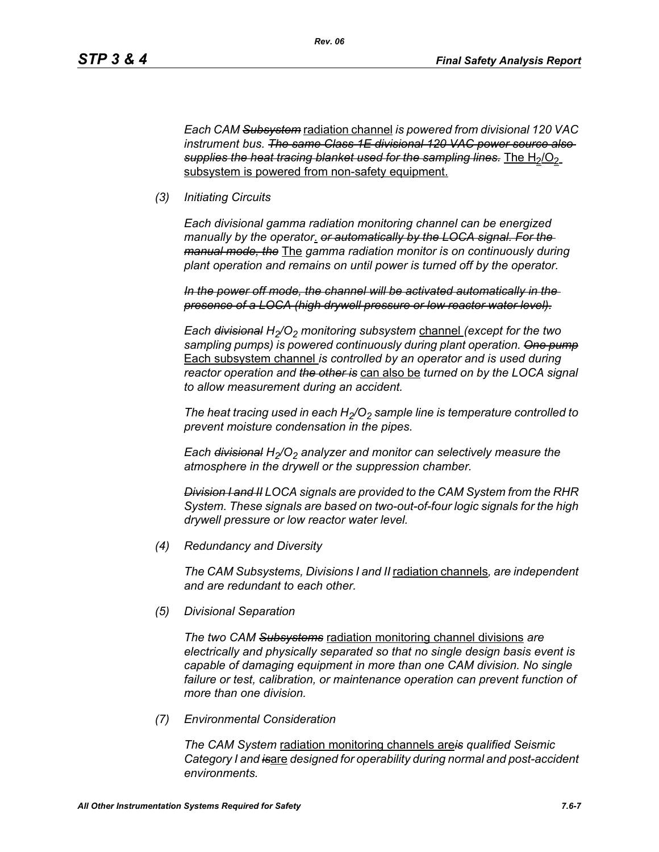*Each CAM Subsystem* radiation channel *is powered from divisional 120 VAC instrument bus. The same Class 1E divisional 120 VAC power source also*  supplies the heat tracing blanket used for the sampling lines. The H<sub>2</sub>/O<sub>2</sub> subsystem is powered from non-safety equipment.

*(3) Initiating Circuits*

*Each divisional gamma radiation monitoring channel can be energized manually by the operator*. *or automatically by the LOCA signal. For the manual mode, the* The *gamma radiation monitor is on continuously during plant operation and remains on until power is turned off by the operator.*

*In the power off mode, the channel will be activated automatically in the presence of a LOCA (high drywell pressure or low reactor water level).*

*Each <del>divisional</del> H<sub>2</sub>/O<sub>2</sub> monitoring subsystem channel (except for the two sampling pumps) is powered continuously during plant operation. One pump* Each subsystem channel *is controlled by an operator and is used during reactor operation and the other is* can also be *turned on by the LOCA signal to allow measurement during an accident.*

The heat tracing used in each  $H_2/O_2$  sample line is temperature controlled to *prevent moisture condensation in the pipes.* 

*Each <del>divisional</del> H<sub>2</sub>/O<sub>2</sub> analyzer and monitor can selectively measure the atmosphere in the drywell or the suppression chamber.*

*Division I and II LOCA signals are provided to the CAM System from the RHR System. These signals are based on two-out-of-four logic signals for the high drywell pressure or low reactor water level.*

*(4) Redundancy and Diversity*

*The CAM Subsystems, Divisions I and II* radiation channels*, are independent and are redundant to each other.*

*(5) Divisional Separation*

*The two CAM Subsystems* radiation monitoring channel divisions *are electrically and physically separated so that no single design basis event is capable of damaging equipment in more than one CAM division. No single*  failure or test, calibration, or maintenance operation can prevent function of *more than one division.*

*(7) Environmental Consideration*

*The CAM System* radiation monitoring channels are*is qualified Seismic Category I and is*are *designed for operability during normal and post-accident environments.*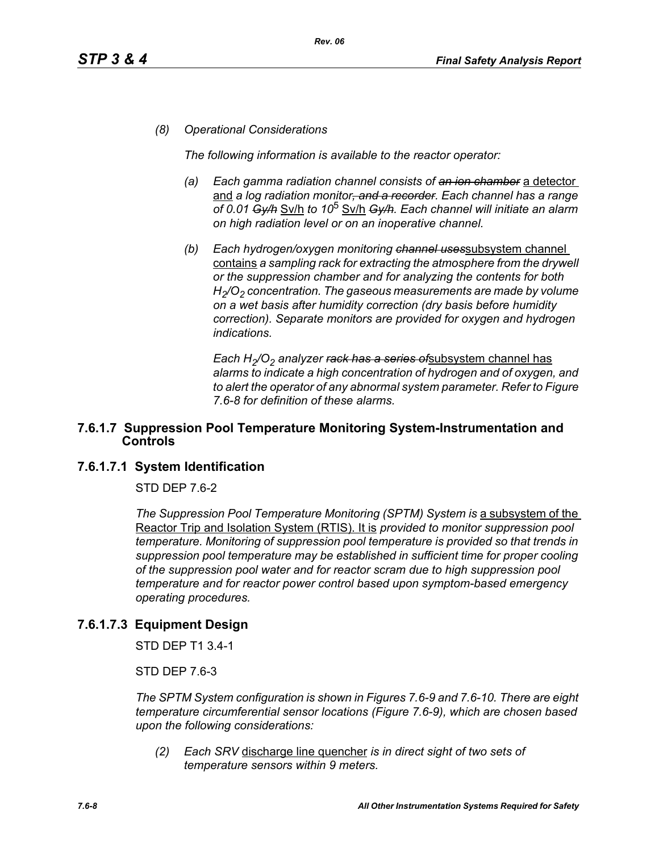#### *(8) Operational Considerations*

*The following information is available to the reactor operator:*

- *(a) Each gamma radiation channel consists of an ion chamber* a detector and *a log radiation monitor, and a recorder. Each channel has a range of 0.01 Gy/h* Sv/h *to 10*5 Sv/h *Gy/h. Each channel will initiate an alarm on high radiation level or on an inoperative channel.*
- *(b) Each hydrogen/oxygen monitoring channel uses*subsystem channel contains *a sampling rack for extracting the atmosphere from the drywell or the suppression chamber and for analyzing the contents for both H2/O2 concentration. The gaseous measurements are made by volume on a wet basis after humidity correction (dry basis before humidity correction). Separate monitors are provided for oxygen and hydrogen indications.*

Each H<sub>2</sub>/O<sub>2</sub> analyzer rack has a series of subsystem channel has *alarms to indicate a high concentration of hydrogen and of oxygen, and to alert the operator of any abnormal system parameter. Refer to Figure 7.6-8 for definition of these alarms.*

#### **7.6.1.7 Suppression Pool Temperature Monitoring System-Instrumentation and Controls**

### **7.6.1.7.1 System Identification**

STD DEP 7.6-2

The Suppression Pool Temperature Monitoring (SPTM) System is a subsystem of the Reactor Trip and Isolation System (RTIS). It is *provided to monitor suppression pool temperature. Monitoring of suppression pool temperature is provided so that trends in suppression pool temperature may be established in sufficient time for proper cooling of the suppression pool water and for reactor scram due to high suppression pool temperature and for reactor power control based upon symptom-based emergency operating procedures.*

### **7.6.1.7.3 Equipment Design**

STD DEP T1 3.4-1

STD DEP 7.6-3

*The SPTM System configuration is shown in Figures 7.6-9 and 7.6-10. There are eight temperature circumferential sensor locations (Figure 7.6-9), which are chosen based upon the following considerations:*

*(2) Each SRV* discharge line quencher *is in direct sight of two sets of temperature sensors within 9 meters.*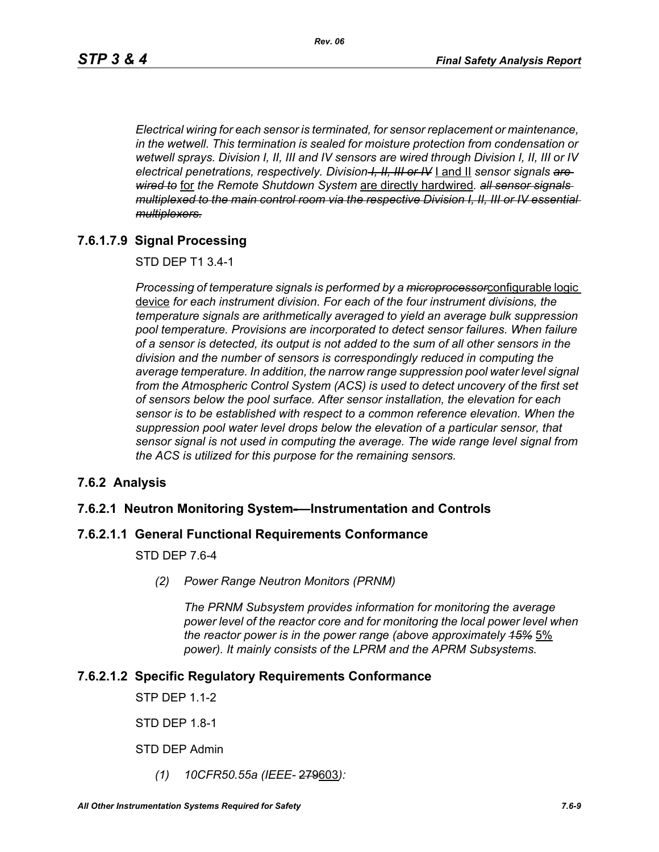*Electrical wiring for each sensor is terminated, for sensor replacement or maintenance, in the wetwell. This termination is sealed for moisture protection from condensation or wetwell sprays. Division I, II, III and IV sensors are wired through Division I, II, III or IV electrical penetrations, respectively. Division I, II, III or IV* I and II *sensor signals are wired to* for *the Remote Shutdown System* are directly hardwired*. all sensor signals multiplexed to the main control room via the respective Division I, II, III or IV essential multiplexers.*

### **7.6.1.7.9 Signal Processing**

STD DEP T1 3.4-1

*Processing of temperature signals is performed by a microprocessor*configurable logic device *for each instrument division. For each of the four instrument divisions, the temperature signals are arithmetically averaged to yield an average bulk suppression pool temperature. Provisions are incorporated to detect sensor failures. When failure of a sensor is detected, its output is not added to the sum of all other sensors in the division and the number of sensors is correspondingly reduced in computing the average temperature. In addition, the narrow range suppression pool water level signal*  from the Atmospheric Control System (ACS) is used to detect uncovery of the first set *of sensors below the pool surface. After sensor installation, the elevation for each sensor is to be established with respect to a common reference elevation. When the suppression pool water level drops below the elevation of a particular sensor, that sensor signal is not used in computing the average. The wide range level signal from the ACS is utilized for this purpose for the remaining sensors.*

### **7.6.2 Analysis**

#### **7.6.2.1 Neutron Monitoring System-—Instrumentation and Controls**

#### **7.6.2.1.1 General Functional Requirements Conformance**

#### STD DEP 7.6-4

*(2) Power Range Neutron Monitors (PRNM)*

*The PRNM Subsystem provides information for monitoring the average power level of the reactor core and for monitoring the local power level when the reactor power is in the power range (above approximately 15%* 5% *power). It mainly consists of the LPRM and the APRM Subsystems.*

#### **7.6.2.1.2 Specific Regulatory Requirements Conformance**

STP DEP 1.1-2

STD DEP 1.8-1

STD DEP Admin

*(1) 10CFR50.55a (IEEE-* 279603*):*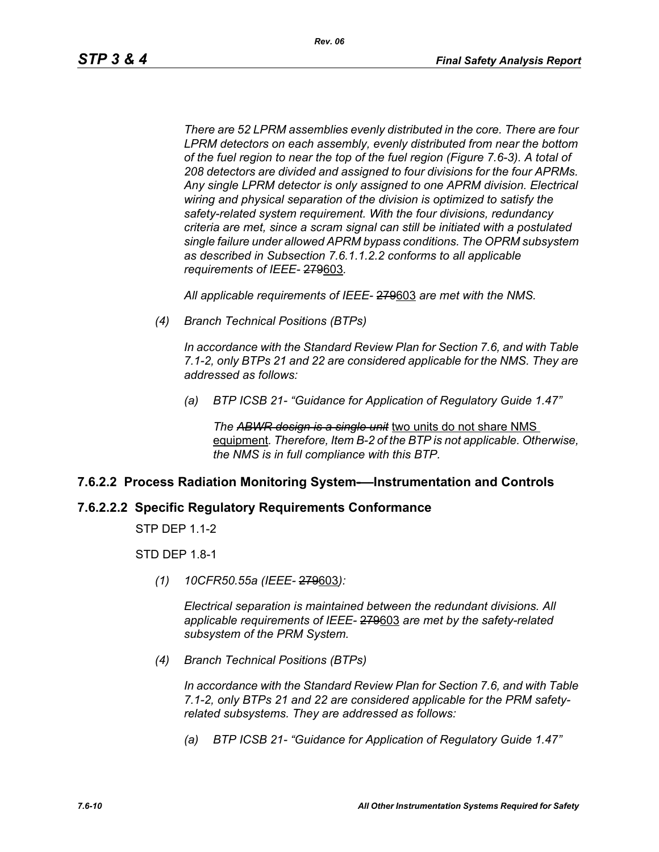*Rev. 06*

*There are 52 LPRM assemblies evenly distributed in the core. There are four LPRM detectors on each assembly, evenly distributed from near the bottom of the fuel region to near the top of the fuel region (Figure 7.6-3). A total of 208 detectors are divided and assigned to four divisions for the four APRMs. Any single LPRM detector is only assigned to one APRM division. Electrical wiring and physical separation of the division is optimized to satisfy the safety-related system requirement. With the four divisions, redundancy criteria are met, since a scram signal can still be initiated with a postulated single failure under allowed APRM bypass conditions. The OPRM subsystem as described in Subsection 7.6.1.1.2.2 conforms to all applicable requirements of IEEE-* 279603*.*

*All applicable requirements of IEEE-* 279603 *are met with the NMS.*

*(4) Branch Technical Positions (BTPs)* 

*In accordance with the Standard Review Plan for Section 7.6, and with Table 7.1-2, only BTPs 21 and 22 are considered applicable for the NMS. They are addressed as follows:* 

*(a) BTP ICSB 21- "Guidance for Application of Regulatory Guide 1.47"* 

*The ABWR design is a single unit* two units do not share NMS equipment*. Therefore, Item B-2 of the BTP is not applicable. Otherwise, the NMS is in full compliance with this BTP.* 

### **7.6.2.2 Process Radiation Monitoring System-—Instrumentation and Controls**

#### **7.6.2.2.2 Specific Regulatory Requirements Conformance**

STP DEP 1.1-2

STD DEP 1.8-1

*(1) 10CFR50.55a (IEEE-* 279603*):*

*Electrical separation is maintained between the redundant divisions. All applicable requirements of IEEE-* 279603 *are met by the safety-related subsystem of the PRM System.*

*(4) Branch Technical Positions (BTPs)* 

*In accordance with the Standard Review Plan for Section 7.6, and with Table 7.1-2, only BTPs 21 and 22 are considered applicable for the PRM safetyrelated subsystems. They are addressed as follows:* 

*(a) BTP ICSB 21- "Guidance for Application of Regulatory Guide 1.47"*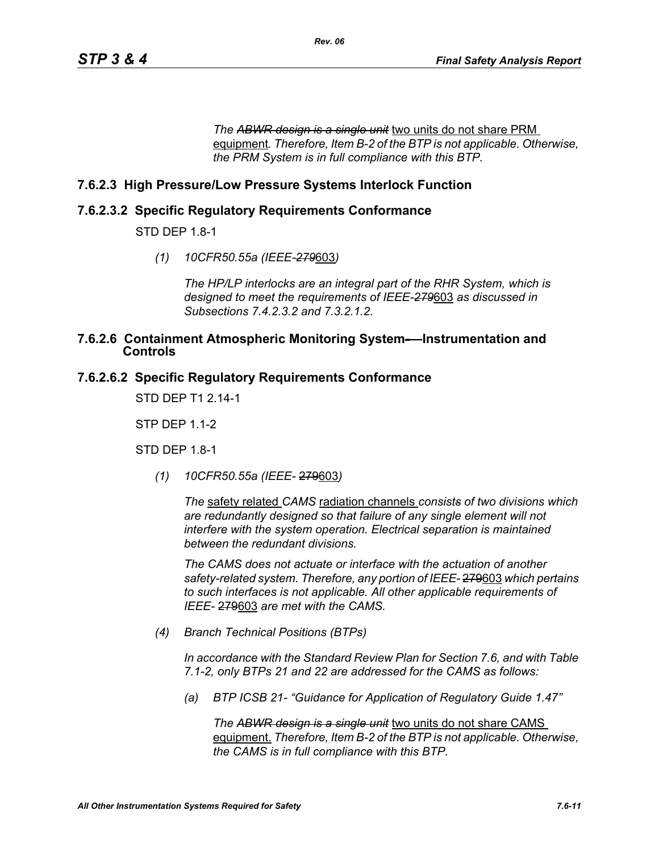*The ABWR design is a single unit* two units do not share PRM equipment*. Therefore, Item B-2 of the BTP is not applicable. Otherwise, the PRM System is in full compliance with this BTP.* 

### **7.6.2.3 High Pressure/Low Pressure Systems Interlock Function**

### **7.6.2.3.2 Specific Regulatory Requirements Conformance**

STD DEP 1.8-1

*(1) 10CFR50.55a (IEEE-279*603*)*

*The HP/LP interlocks are an integral part of the RHR System, which is designed to meet the requirements of IEEE-279*603 *as discussed in Subsections 7.4.2.3.2 and 7.3.2.1.2.*

#### **7.6.2.6 Containment Atmospheric Monitoring System-—Instrumentation and Controls**

### **7.6.2.6.2 Specific Regulatory Requirements Conformance**

STD DEP T1 2.14-1

STP DEP 1.1-2

STD DEP 1.8-1

*(1) 10CFR50.55a (IEEE-* 279603*)*

*The* safety related *CAMS* radiation channels *consists of two divisions which are redundantly designed so that failure of any single element will not interfere with the system operation. Electrical separation is maintained between the redundant divisions.*

*The CAMS does not actuate or interface with the actuation of another safety-related system. Therefore, any portion of IEEE-* 279603 *which pertains to such interfaces is not applicable. All other applicable requirements of IEEE-* 279603 *are met with the CAMS.*

*(4) Branch Technical Positions (BTPs)* 

*In accordance with the Standard Review Plan for Section 7.6, and with Table 7.1-2, only BTPs 21 and 22 are addressed for the CAMS as follows:* 

*(a) BTP ICSB 21- "Guidance for Application of Regulatory Guide 1.47"*

*The ABWR design is a single unit* two units do not share CAMS equipment. *Therefore, Item B-2 of the BTP is not applicable. Otherwise, the CAMS is in full compliance with this BTP.*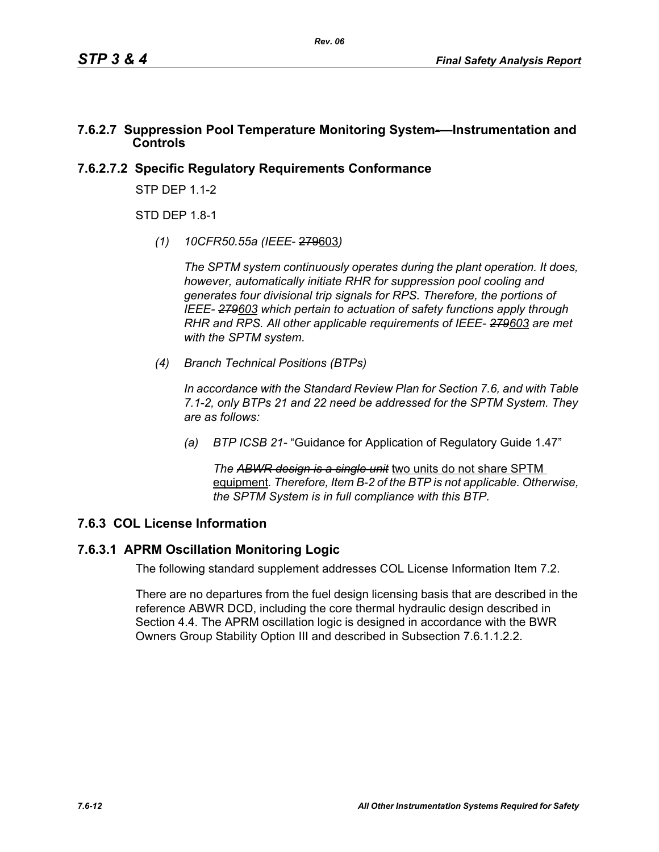### **7.6.2.7 Suppression Pool Temperature Monitoring System-—Instrumentation and Controls**

### **7.6.2.7.2 Specific Regulatory Requirements Conformance**

STP DEP 1.1-2

 $STD$  DFP 1.8-1.

*(1) 10CFR50.55a (IEEE*- 279603*)*

*The SPTM system continuously operates during the plant operation. It does, however, automatically initiate RHR for suppression pool cooling and generates four divisional trip signals for RPS. Therefore, the portions of IEEE- 279603 which pertain to actuation of safety functions apply through RHR and RPS. All other applicable requirements of IEEE- 279603 are met with the SPTM system.*

*(4) Branch Technical Positions (BTPs)*

*In accordance with the Standard Review Plan for Section 7.6, and with Table 7.1-2, only BTPs 21 and 22 need be addressed for the SPTM System. They are as follows:*

*(a) BTP ICSB 21-* "Guidance for Application of Regulatory Guide 1.47"

*The ABWR design is a single unit* two units do not share SPTM equipment*. Therefore, Item B-2 of the BTP is not applicable. Otherwise, the SPTM System is in full compliance with this BTP.*

## **7.6.3 COL License Information**

### **7.6.3.1 APRM Oscillation Monitoring Logic**

The following standard supplement addresses COL License Information Item 7.2.

There are no departures from the fuel design licensing basis that are described in the reference ABWR DCD, including the core thermal hydraulic design described in Section 4.4. The APRM oscillation logic is designed in accordance with the BWR Owners Group Stability Option III and described in Subsection 7.6.1.1.2.2.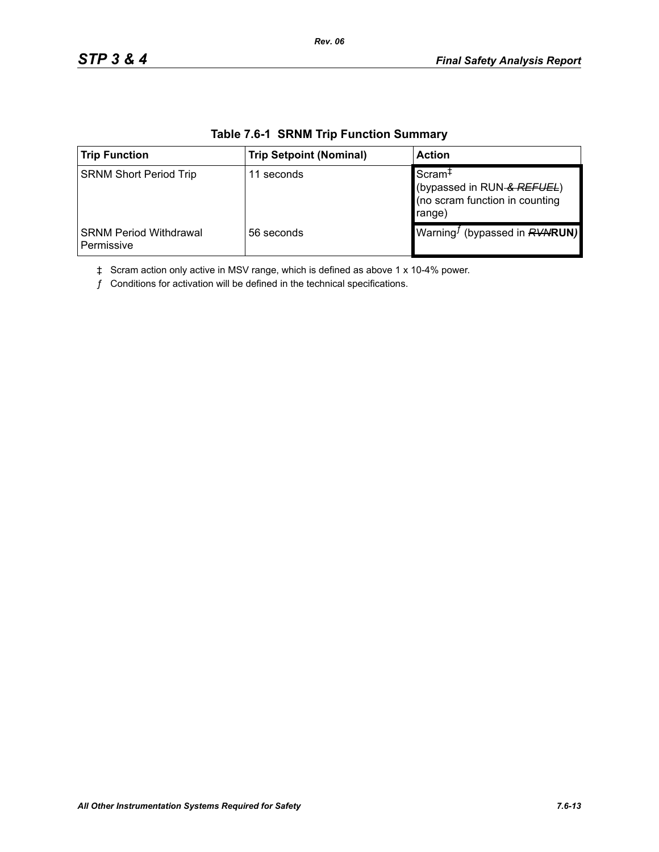| <b>Trip Function</b>                        | <b>Trip Setpoint (Nominal)</b> | <b>Action</b>                                                                                |
|---------------------------------------------|--------------------------------|----------------------------------------------------------------------------------------------|
| <b>SRNM Short Period Trip</b>               | 11 seconds                     | Scram <sup>+</sup><br>(bypassed in RUN-& REFUEL)<br>(no scram function in counting<br>range) |
| <b>SRNM Period Withdrawal</b><br>Permissive | 56 seconds                     | Warning <sup>J</sup> (bypassed in <b>RVNRUN)</b>                                             |

### **Table 7.6-1 SRNM Trip Function Summary**

*Rev. 06*

‡ Scram action only active in MSV range, which is defined as above 1 x 10-4% power.

 $f$  Conditions for activation will be defined in the technical specifications.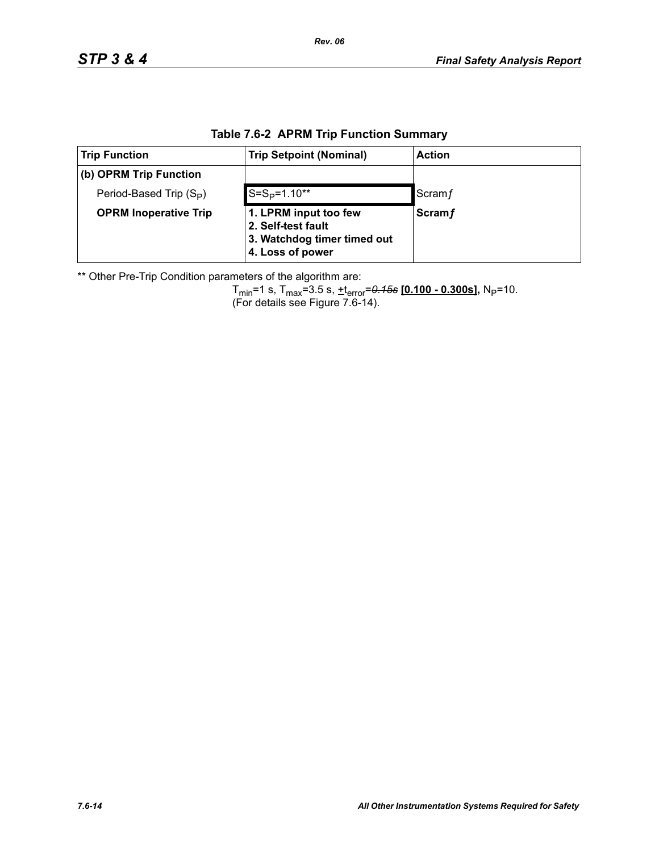| <b>Trip Function</b>                | <b>Trip Setpoint (Nominal)</b>                                             | <b>Action</b> |  |  |
|-------------------------------------|----------------------------------------------------------------------------|---------------|--|--|
| (b) OPRM Trip Function              |                                                                            |               |  |  |
| Period-Based Trip (S <sub>P</sub> ) | $S = SP=1.10**$                                                            | Scram f       |  |  |
| <b>OPRM Inoperative Trip</b>        | 1. LPRM input too few<br>2. Self-test fault<br>3. Watchdog timer timed out | <b>Scramf</b> |  |  |

**4. Loss of power**

### **Table 7.6-2 APRM Trip Function Summary**

\*\* Other Pre-Trip Condition parameters of the algorithm are:

Tmin=1 s, Tmax=3.5 s, +terror=*0.15s* **[0.100 - 0.300s],** NP=10. (For details see Figure 7.6-14).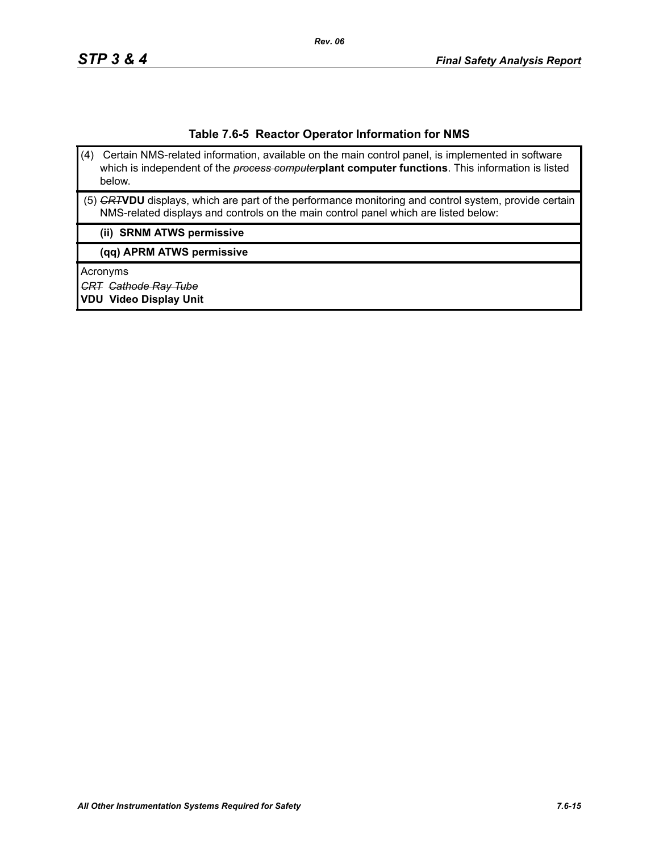#### **Table 7.6-5 Reactor Operator Information for NMS**

- (4) Certain NMS-related information, available on the main control panel, is implemented in software which is independent of the *process computer***plant computer functions**. This information is listed below.
- (5) *CRT***VDU** displays, which are part of the performance monitoring and control system, provide certain NMS-related displays and controls on the main control panel which are listed below:

#### **(ii) SRNM ATWS permissive**

**(qq) APRM ATWS permissive**

Acronyms

*CRT Cathode Ray Tube*

**VDU Video Display Unit**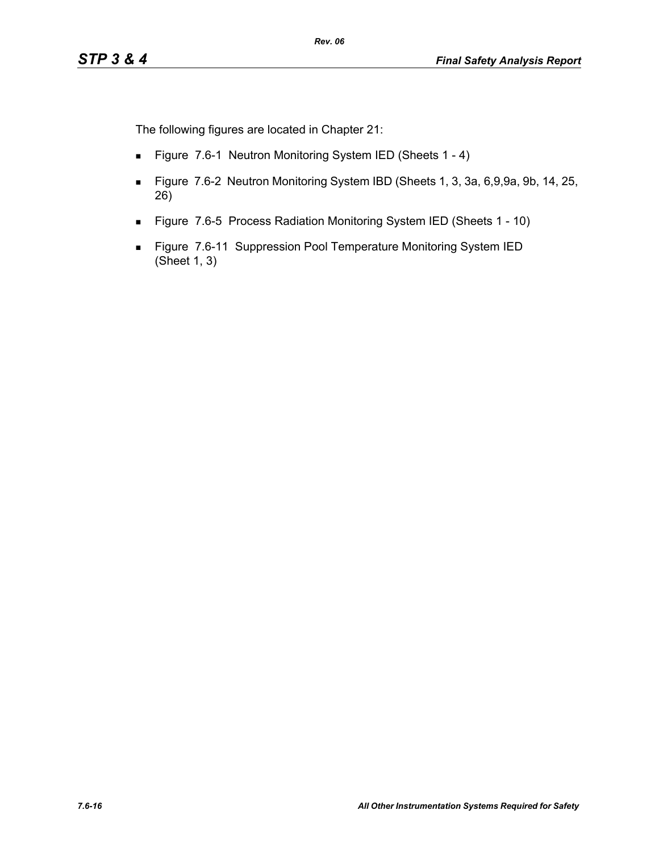The following figures are located in Chapter 21:

- Figure 7.6-1 Neutron Monitoring System IED (Sheets 1 4)
- Figure 7.6-2 Neutron Monitoring System IBD (Sheets 1, 3, 3a, 6,9,9a, 9b, 14, 25, 26)
- Figure 7.6-5 Process Radiation Monitoring System IED (Sheets 1 10)
- **Figure 7.6-11 Suppression Pool Temperature Monitoring System IED** (Sheet 1, 3)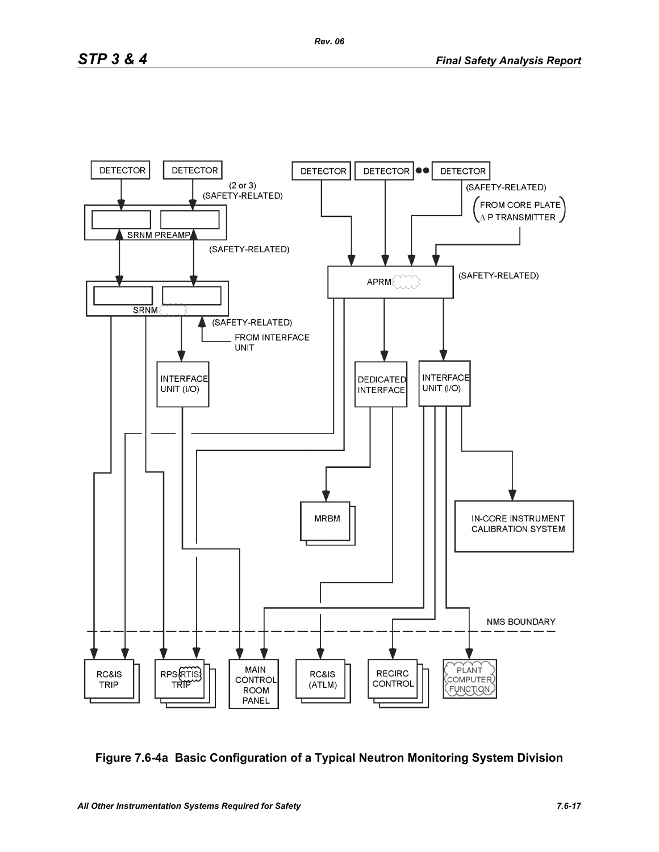

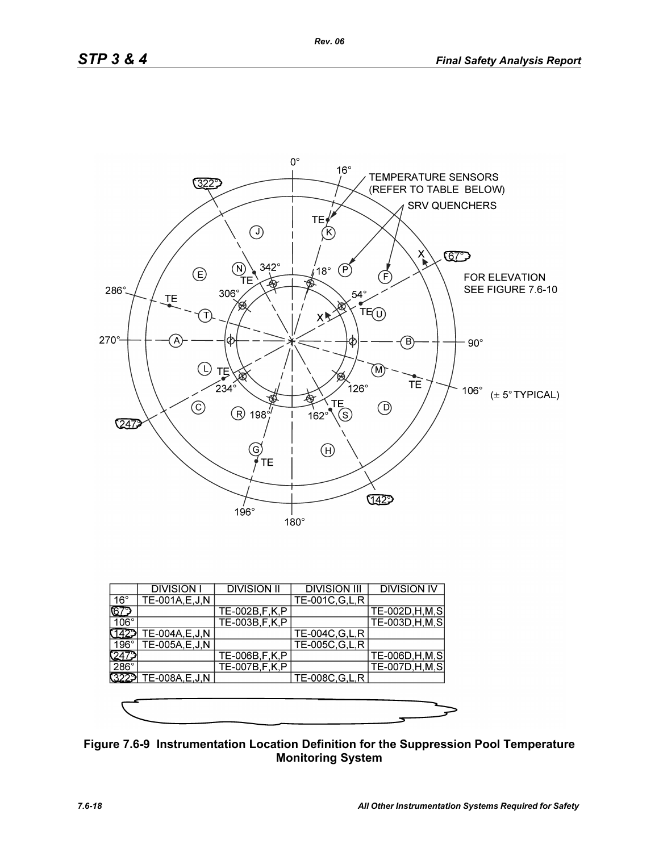

|              | <b>DIVISION I</b> | <b>DIVISION II</b> | <b>DIVISION III</b> | <b>DIVISION IV</b> |
|--------------|-------------------|--------------------|---------------------|--------------------|
| $16^{\circ}$ | TE-001A, E, J, N  |                    | TE-001C, G, L, R    |                    |
| ୲ଢ଼          |                   | TE-002B, F, K, P   |                     | TE-002D, H, M, S   |
| $106^\circ$  |                   | TE-003B, F, K, P   |                     | TE-003D, H, M, S   |
|              | TE-004A, E, J, N  |                    | TE-004C, G, L, R    |                    |
| 196°1        | TE-005A,E,J,N     |                    | TE-005C, G, L, R    |                    |
|              |                   | TE-006B, F, K, P   |                     | TE-006D, H, M, S   |
| $286^\circ$  |                   | TE-007B, F, K, P   |                     | TE-007D, H, M, S   |
| 3229         | TE-008A, E, J, N  |                    | TE-008C, G, L, R    |                    |
|              |                   |                    |                     |                    |
|              |                   |                    |                     |                    |
|              |                   |                    |                     |                    |

**Figure 7.6-9 Instrumentation Location Definition for the Suppression Pool Temperature Monitoring System**